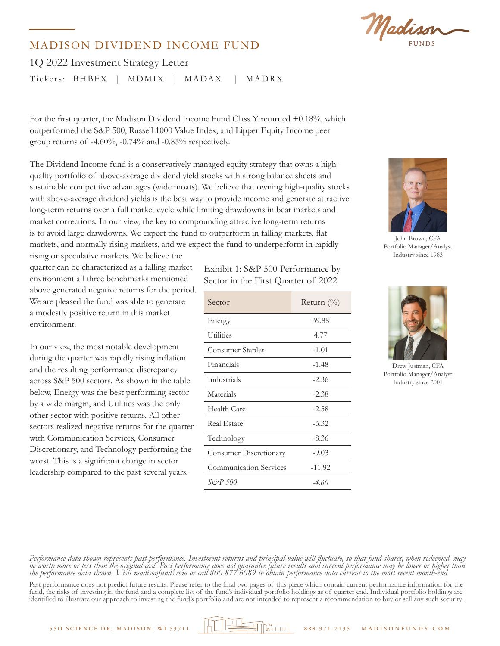Madison

## MADISON DIVIDEND INCOME FUND

1Q 2022 Investment Strategy Letter Tickers: BHBFX | MDMIX | MADAX | MADRX

For the first quarter, the Madison Dividend Income Fund Class Y returned +0.18%, which outperformed the S&P 500, Russell 1000 Value Index, and Lipper Equity Income peer group returns of -4.60%, -0.74% and -0.85% respectively.

The Dividend Income fund is a conservatively managed equity strategy that owns a highquality portfolio of above-average dividend yield stocks with strong balance sheets and sustainable competitive advantages (wide moats). We believe that owning high-quality stocks with above-average dividend yields is the best way to provide income and generate attractive long-term returns over a full market cycle while limiting drawdowns in bear markets and market corrections. In our view, the key to compounding attractive long-term returns is to avoid large drawdowns. We expect the fund to outperform in falling markets, flat markets, and normally rising markets, and we expect the fund to underperform in rapidly

rising or speculative markets. We believe the quarter can be characterized as a falling market environment all three benchmarks mentioned above generated negative returns for the period. We are pleased the fund was able to generate a modestly positive return in this market environment.

In our view, the most notable development during the quarter was rapidly rising inflation and the resulting performance discrepancy across S&P 500 sectors. As shown in the table below, Energy was the best performing sector by a wide margin, and Utilities was the only other sector with positive returns. All other sectors realized negative returns for the quarter with Communication Services, Consumer Discretionary, and Technology performing the worst. This is a significant change in sector leadership compared to the past several years.

Exhibit 1: S&P 500 Performance by Sector in the First Quarter of 2022

| Sector                        | Return $\left(\frac{0}{0}\right)$ |
|-------------------------------|-----------------------------------|
| Energy                        | 39.88                             |
| <b>Utilities</b>              | 4.77                              |
| Consumer Staples              | $-1.01$                           |
| Financials                    | $-1.48$                           |
| Industrials                   | $-2.36$                           |
| Materials                     | $-2.38$                           |
| Health Care                   | $-2.58$                           |
| Real Estate                   | $-6.32$                           |
| Technology                    | $-8.36$                           |
| Consumer Discretionary        | $-9.03$                           |
| <b>Communication Services</b> | $-11.92$                          |
| S&P 500                       | $-4.60$                           |



John Brown, CFA Portfolio Manager/Analyst Industry since 1983



Drew Justman, CFA Portfolio Manager/Analyst Industry since 2001

*Performance data shown represents past performance. Investment returns and principal value will fluctuate, so that fund shares, when redeemed, may be worth more or less than the original cost. Past performance does not guarantee future results and current performance may be lower or higher than the performance data shown. Visit madisonfunds.com or call 800.877.6089 to obtain performance data current to the most recent month-end.* 

Past performance does not predict future results. Please refer to the final two pages of this piece which contain current performance information for the fund, the risks of investing in the fund and a complete list of the fund's individual portfolio holdings as of quarter end. Individual portfolio holdings are identified to illustrate our approach to investing the fund's portfolio and are not intended to represent a recommendation to buy or sell any such security.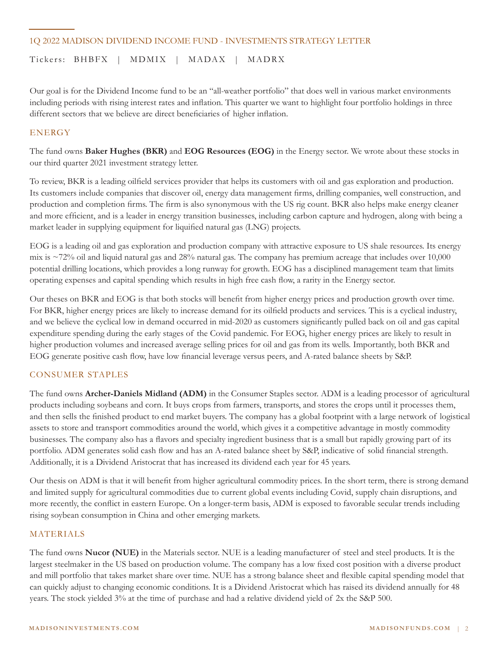## 1Q 2022 MADISON DIVIDEND INCOME FUND - INVESTMENTS STRATEGY LETTER

Tickers: BHBFX | MDMIX | MADAX | MADRX

Our goal is for the Dividend Income fund to be an "all-weather portfolio" that does well in various market environments including periods with rising interest rates and inflation. This quarter we want to highlight four portfolio holdings in three different sectors that we believe are direct beneficiaries of higher inflation.

## **ENERGY**

The fund owns **Baker Hughes (BKR)** and **EOG Resources (EOG)** in the Energy sector. We wrote about these stocks in our third quarter 2021 investment strategy letter.

To review, BKR is a leading oilfield services provider that helps its customers with oil and gas exploration and production. Its customers include companies that discover oil, energy data management firms, drilling companies, well construction, and production and completion firms. The firm is also synonymous with the US rig count. BKR also helps make energy cleaner and more efficient, and is a leader in energy transition businesses, including carbon capture and hydrogen, along with being a market leader in supplying equipment for liquified natural gas (LNG) projects.

EOG is a leading oil and gas exploration and production company with attractive exposure to US shale resources. Its energy mix is ~72% oil and liquid natural gas and 28% natural gas. The company has premium acreage that includes over 10,000 potential drilling locations, which provides a long runway for growth. EOG has a disciplined management team that limits operating expenses and capital spending which results in high free cash flow, a rarity in the Energy sector.

Our theses on BKR and EOG is that both stocks will benefit from higher energy prices and production growth over time. For BKR, higher energy prices are likely to increase demand for its oilfield products and services. This is a cyclical industry, and we believe the cyclical low in demand occurred in mid-2020 as customers significantly pulled back on oil and gas capital expenditure spending during the early stages of the Covid pandemic. For EOG, higher energy prices are likely to result in higher production volumes and increased average selling prices for oil and gas from its wells. Importantly, both BKR and EOG generate positive cash flow, have low financial leverage versus peers, and A-rated balance sheets by S&P.

## CONSUMER STAPLES

The fund owns **Archer-Daniels Midland (ADM)** in the Consumer Staples sector. ADM is a leading processor of agricultural products including soybeans and corn. It buys crops from farmers, transports, and stores the crops until it processes them, and then sells the finished product to end market buyers. The company has a global footprint with a large network of logistical assets to store and transport commodities around the world, which gives it a competitive advantage in mostly commodity businesses. The company also has a flavors and specialty ingredient business that is a small but rapidly growing part of its portfolio. ADM generates solid cash flow and has an A-rated balance sheet by S&P, indicative of solid financial strength. Additionally, it is a Dividend Aristocrat that has increased its dividend each year for 45 years.

Our thesis on ADM is that it will benefit from higher agricultural commodity prices. In the short term, there is strong demand and limited supply for agricultural commodities due to current global events including Covid, supply chain disruptions, and more recently, the conflict in eastern Europe. On a longer-term basis, ADM is exposed to favorable secular trends including rising soybean consumption in China and other emerging markets.

## MATERIALS

The fund owns **Nucor (NUE)** in the Materials sector. NUE is a leading manufacturer of steel and steel products. It is the largest steelmaker in the US based on production volume. The company has a low fixed cost position with a diverse product and mill portfolio that takes market share over time. NUE has a strong balance sheet and flexible capital spending model that can quickly adjust to changing economic conditions. It is a Dividend Aristocrat which has raised its dividend annually for 48 years. The stock yielded 3% at the time of purchase and had a relative dividend yield of 2x the S&P 500.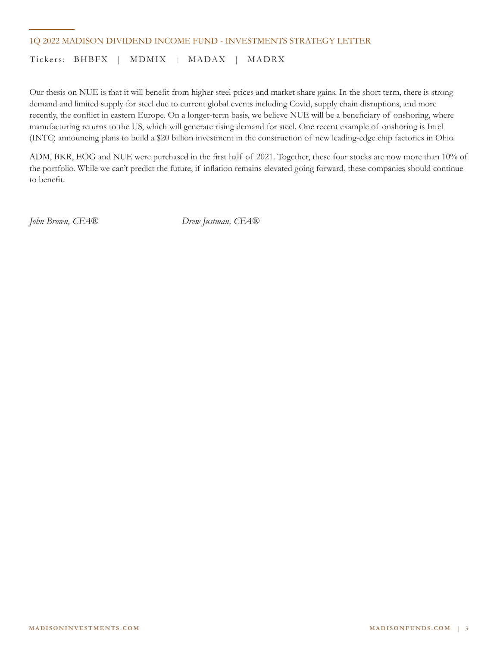## 1Q 2022 MADISON DIVIDEND INCOME FUND - INVESTMENTS STRATEGY LETTER

Tickers: BHBFX | MDMIX | MADAX | MADRX

Our thesis on NUE is that it will benefit from higher steel prices and market share gains. In the short term, there is strong demand and limited supply for steel due to current global events including Covid, supply chain disruptions, and more recently, the conflict in eastern Europe. On a longer-term basis, we believe NUE will be a beneficiary of onshoring, where manufacturing returns to the US, which will generate rising demand for steel. One recent example of onshoring is Intel (INTC) announcing plans to build a \$20 billion investment in the construction of new leading-edge chip factories in Ohio.

ADM, BKR, EOG and NUE were purchased in the first half of 2021. Together, these four stocks are now more than 10% of the portfolio. While we can't predict the future, if inflation remains elevated going forward, these companies should continue to benefit.

*John Brown, CFA® Drew Justman, CFA®*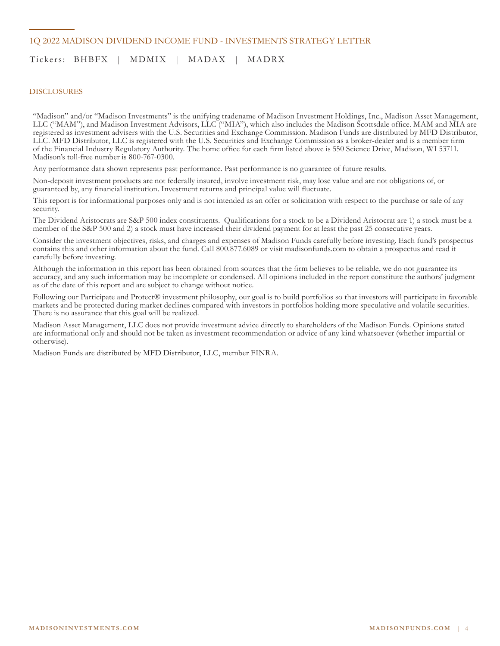## 1Q 2022 MADISON DIVIDEND INCOME FUND - INVESTMENTS STRATEGY LETTER

## Tickers: BHBFX | MDMIX | MADAX | MADRX

#### DISCLOSURES

"Madison" and/or "Madison Investments" is the unifying tradename of Madison Investment Holdings, Inc., Madison Asset Management, LLC ("MAM"), and Madison Investment Advisors, LLC ("MIA"), which also includes the Madison Scottsdale office. MAM and MIA are registered as investment advisers with the U.S. Securities and Exchange Commission. Madison Funds are distributed by MFD Distributor, LLC. MFD Distributor, LLC is registered with the U.S. Securities and Exchange Commission as a broker-dealer and is a member firm of the Financial Industry Regulatory Authority. The home office for each firm listed above is 550 Science Drive, Madison, WI 53711. Madison's toll-free number is 800-767-0300.

Any performance data shown represents past performance. Past performance is no guarantee of future results.

Non-deposit investment products are not federally insured, involve investment risk, may lose value and are not obligations of, or guaranteed by, any financial institution. Investment returns and principal value will fluctuate.

This report is for informational purposes only and is not intended as an offer or solicitation with respect to the purchase or sale of any security.

The Dividend Aristocrats are S&P 500 index constituents. Qualifications for a stock to be a Dividend Aristocrat are 1) a stock must be a member of the S&P 500 and 2) a stock must have increased their dividend payment for at least the past 25 consecutive years.

Consider the investment objectives, risks, and charges and expenses of Madison Funds carefully before investing. Each fund's prospectus contains this and other information about the fund. Call 800.877.6089 or visit madisonfunds.com to obtain a prospectus and read it carefully before investing.

Although the information in this report has been obtained from sources that the firm believes to be reliable, we do not guarantee its accuracy, and any such information may be incomplete or condensed. All opinions included in the report constitute the authors' judgment as of the date of this report and are subject to change without notice.

Following our Participate and Protect® investment philosophy, our goal is to build portfolios so that investors will participate in favorable markets and be protected during market declines compared with investors in portfolios holding more speculative and volatile securities. There is no assurance that this goal will be realized.

Madison Asset Management, LLC does not provide investment advice directly to shareholders of the Madison Funds. Opinions stated are informational only and should not be taken as investment recommendation or advice of any kind whatsoever (whether impartial or otherwise).

Madison Funds are distributed by MFD Distributor, LLC, member FINRA.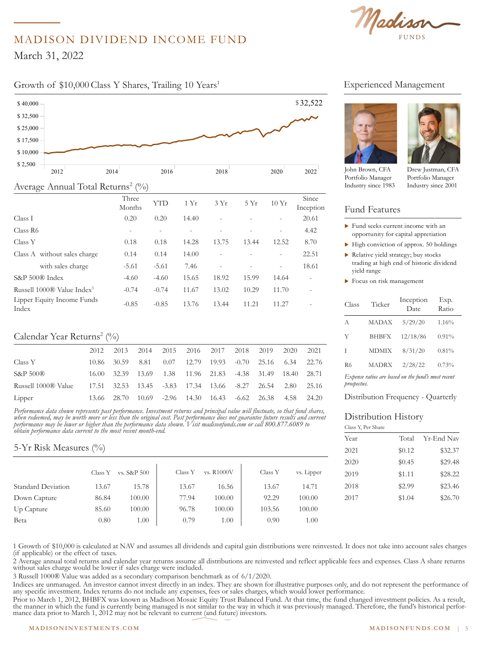Madison

# MADISON DIVIDEND INCOME FUND

March 31, 2022

\$ 32,500

# Growth of \$10,000 Class Y Shares, Trailing 10 Years<sup>1</sup> Experienced Management



## Average Annual Total Returns<sup>2</sup> (%)

| ◡                                      |                 |            |       |                          |       |                          |                          |
|----------------------------------------|-----------------|------------|-------|--------------------------|-------|--------------------------|--------------------------|
|                                        | Three<br>Months | <b>YTD</b> | 1Yr   | 3Yr                      | 5Yr   | 10Yr                     | Since<br>Inception       |
| Class I                                | 0.20            | 0.20       | 14.40 |                          |       |                          | 20.61                    |
| Class R <sub>6</sub>                   | $\overline{a}$  |            |       |                          |       | $\overline{\phantom{0}}$ | 4.42                     |
| Class Y                                | 0.18            | 0.18       | 14.28 | 13.75                    | 13.44 | 12.52                    | 8.70                     |
| Class A without sales charge           | 0.14            | 0.14       | 14.00 |                          |       | ۰                        | 22.51                    |
| with sales charge                      | $-5.61$         | $-5.61$    | 7.46  | $\overline{\phantom{a}}$ |       | $\overline{\phantom{a}}$ | 18.61                    |
| S&P 500® Index                         | $-4.60$         | $-4.60$    | 15.65 | 18.92                    | 15.99 | 14.64                    | $\overline{\phantom{a}}$ |
| Russell 1000® Value Index <sup>3</sup> | $-0.74$         | $-0.74$    | 11.67 | 13.02                    | 10.29 | 11.70                    | $\overline{a}$           |
| Lipper Equity Income Funds<br>Index    | $-0.85$         | $-0.85$    | 13.76 | 13.44                    | 11.21 | 11.27                    | $\overline{\phantom{0}}$ |
|                                        |                 |            |       |                          |       |                          |                          |

## Calendar Year Returns<sup>2</sup> (%)

|                     | 2012  | 2013        |  | 2014 2015 2016 2017 2018 2019       |  |                                                            | 2020   | 2021  |
|---------------------|-------|-------------|--|-------------------------------------|--|------------------------------------------------------------|--------|-------|
| Class Y             |       | 10.86 30.59 |  |                                     |  | 8.81 0.07 12.79 19.93 -0.70 25.16 6.34 22.76               |        |       |
| $S\&P500\&$         | 16.00 |             |  |                                     |  | 32.39 13.69 1.38 11.96 21.83 -4.38 31.49 18.40 28.71       |        |       |
| Russell 1000® Value |       |             |  |                                     |  | 17.51 32.53 13.45 -3.83 17.34 13.66 -8.27 26.54 2.80 25.16 |        |       |
| Lipper              |       | 13.66 28.70 |  | 10.69 -2.96 14.30 16.43 -6.62 26.38 |  |                                                            | - 4.58 | 24.20 |

Performance data shown represents past performance. Investment returns and principal value will fluctuate, so that fund shares, *when redeemed, may be worth more or less than the original cost. Past performance does not guarantee future results and current performance may be lower or higher than the performance data shown. Visit madisonfunds.com or call 800.877.6089 to*  \$ 2,500 *obtain performance data current to the most recent month-end.* 

# 5-Yr Risk Measures (%)

|                           | Class Y | vs. S&P 500 | Class Y | vs. R1000V | Class Y | vs. Lipper |  |
|---------------------------|---------|-------------|---------|------------|---------|------------|--|
| <b>Standard Deviation</b> | 13.67   | 15.78       | 13.67   | 16.56      | 13.67   | 14.71      |  |
| Down Capture              | 86.84   | 100.00      | 77.94   | 100.00     | 92.29   | 100.00     |  |
| Up Capture                | 85.60   | 100.00      | 96.78   | 100.00     | 103.56  | 100.00     |  |
| Beta                      | 0.80    | 1.00        | 0.79    | 1.00       | 0.90    | 1.00       |  |

#### $\frac{1}{\sqrt{2}}$  to 3/31/2022 to 3/31/2022 to 3/31/2022 to 3/31/2022 to 3/31/2022 to 3/31/2022 to 3/31/2022 to 3/31/2022 to 3/31/2022 to 3/31/2022 to 3/31/2022 to 3/31/2022 to 3/31/2022 to 3/31/2022 to 3/31/2022 to 3/31/2022 Experienced Management



John Brown, CFA Portfolio Manager Industry since 1983

Brown, CFA Drew Justman, CFA Drew Justman, CFA Portfolio Manager Industry since 2001

## <sup>1</sup> Fund Features

- $\blacktriangleright$  Fund seeks current income with an opportunity for capital appretiation
- $\blacktriangleright$  High conviction of approx. 50 holdings
- $\blacktriangleright$  Relative yield strategy; buy stocks trading at high end of historic dividend yield range
- $\blacktriangleright$  Focus on risk management

| Class       | Ticker       | Inception<br>Date                                  | Exp.<br>Ratio |
|-------------|--------------|----------------------------------------------------|---------------|
| A           | <b>MADAX</b> | 5/29/20                                            | 1.16%         |
| Y           | <b>BHBFX</b> | 12/18/86                                           | $0.91\%$      |
| Ι           | <b>MDMIX</b> | 8/31/20                                            | 0.81%         |
| R6          | <b>MADRX</b> | 2/28/22                                            | 0.73%         |
| prospectus. |              | Expense ratios are based on the fund's most recent |               |

Distribution Frequency - Quarterly

#### Distribution History  $10,000$

 $38,000$ 

Class Y, Per Share Class Y, Per Share

| Year | Total  | Yr-End Nav |
|------|--------|------------|
| 2021 | \$0.12 | \$32.37    |
| 2020 | \$0.45 | \$29.48    |
| 2019 | \$1.11 | \$28.22    |
| 2018 | \$2.99 | \$23.46    |
| 2017 | \$1.04 | \$26.70    |
|      |        |            |
|      |        |            |

1 Growth of \$10,000 is calculated at NAV and assumes all dividends and capital gain distributions were reinvested. It does not take into account sales charges (if applicable) or the effect of taxes.

2 Average annual total returns and calendar year returns assume all distributions are reinvested and reflect applicable fees and expenses. Class A share returns without sales charge would be lower if sales charge were included.

3 Russell 1000® Value was added as a secondary comparison benchmark as of 6/1/2020.

Indices are unmanaged. An investor cannot invest directly in an index. They are shown for illustrative purposes only, and do not represent the performance of any specific investment. Index returns do not include any expenses, fees or sales charges, which would lower performance.

Prior to March 1, 2012, BHBFX was known as Madison Mosaic Equity Trust Balanced Fund. At that time, the fund changed investment policies. As a result, the manner in which the fund is currently being managed is not similar to the way in which it was previously managed. Therefore, the fund's historical performance data prior to March 1, 2012 may not be relevant to current